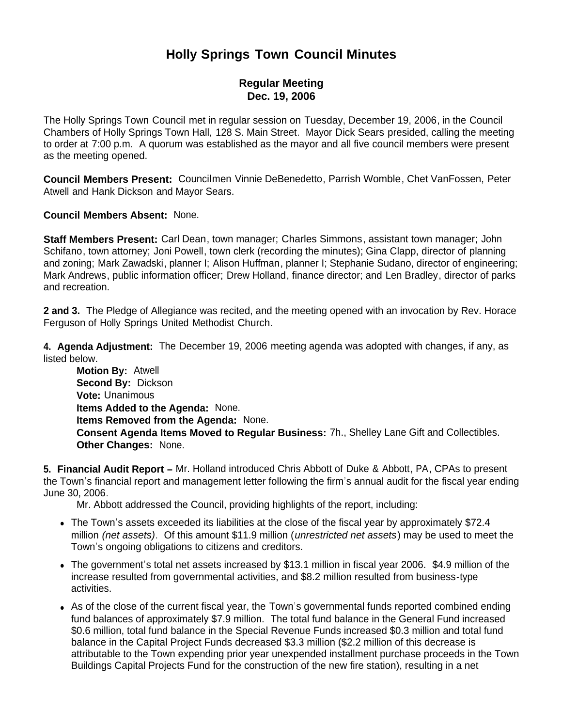# **Holly Springs Town Council Minutes**

## **Regular Meeting Dec. 19, 2006**

The Holly Springs Town Council met in regular session on Tuesday, December 19, 2006, in the Council Chambers of Holly Springs Town Hall, 128 S. Main Street. Mayor Dick Sears presided, calling the meeting to order at 7:00 p.m. A quorum was established as the mayor and all five council members were present as the meeting opened.

**Council Members Present:** Councilmen Vinnie DeBenedetto, Parrish Womble, Chet VanFossen, Peter Atwell and Hank Dickson and Mayor Sears.

**Council Members Absent:** None.

**Staff Members Present:** Carl Dean, town manager; Charles Simmons, assistant town manager; John Schifano, town attorney; Joni Powell, town clerk (recording the minutes); Gina Clapp, director of planning and zoning; Mark Zawadski, planner I; Alison Huffman, planner I; Stephanie Sudano, director of engineering; Mark Andrews, public information officer; Drew Holland, finance director; and Len Bradley, director of parks and recreation.

**2 and 3.** The Pledge of Allegiance was recited, and the meeting opened with an invocation by Rev. Horace Ferguson of Holly Springs United Methodist Church.

**4. Agenda Adjustment:** The December 19, 2006 meeting agenda was adopted with changes, if any, as listed below.

 **Motion By:** Atwell **Second By:** Dickson **Vote:** Unanimous **Items Added to the Agenda:** None. **Items Removed from the Agenda:** None. **Consent Agenda Items Moved to Regular Business:** 7h., Shelley Lane Gift and Collectibles. **Other Changes:** None.

**5. Financial Audit Report –** Mr. Holland introduced Chris Abbott of Duke & Abbott, PA, CPAs to present the Town's financial report and management letter following the firm's annual audit for the fiscal year ending June 30, 2006.

Mr. Abbott addressed the Council, providing highlights of the report, including:

- The Town's assets exceeded its liabilities at the close of the fiscal year by approximately \$72.4 million *(net assets)*. Of this amount \$11.9 million (*unrestricted net assets*) may be used to meet the Town's ongoing obligations to citizens and creditors.
- The government's total net assets increased by \$13.1 million in fiscal year 2006. \$4.9 million of the increase resulted from governmental activities, and \$8.2 million resulted from business-type activities.
- As of the close of the current fiscal year, the Town's governmental funds reported combined ending fund balances of approximately \$7.9 million. The total fund balance in the General Fund increased \$0.6 million, total fund balance in the Special Revenue Funds increased \$0.3 million and total fund balance in the Capital Project Funds decreased \$3.3 million (\$2.2 million of this decrease is attributable to the Town expending prior year unexpended installment purchase proceeds in the Town Buildings Capital Projects Fund for the construction of the new fire station), resulting in a net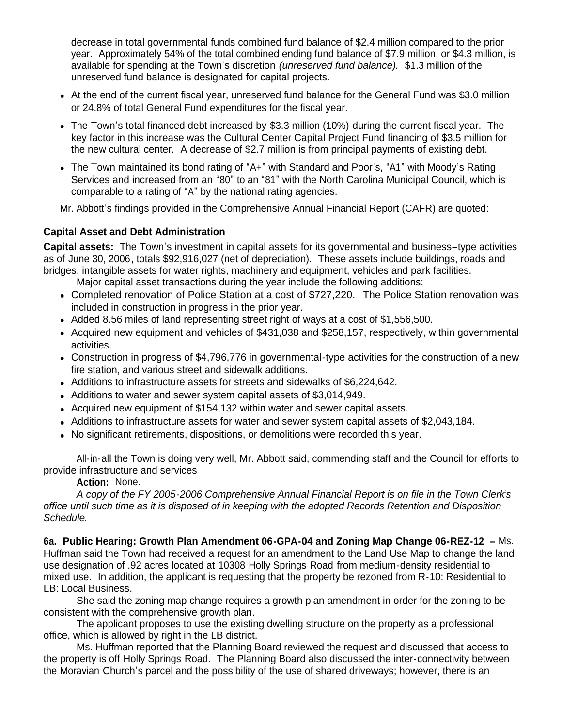decrease in total governmental funds combined fund balance of \$2.4 million compared to the prior year. Approximately 54% of the total combined ending fund balance of \$7.9 million, or \$4.3 million, is available for spending at the Town's discretion *(unreserved fund balance).* \$1.3 million of the unreserved fund balance is designated for capital projects.

- At the end of the current fiscal year, unreserved fund balance for the General Fund was \$3.0 million or 24.8% of total General Fund expenditures for the fiscal year.
- The Town's total financed debt increased by \$3.3 million (10%) during the current fiscal year. The key factor in this increase was the Cultural Center Capital Project Fund financing of \$3.5 million for the new cultural center. A decrease of \$2.7 million is from principal payments of existing debt.
- The Town maintained its bond rating of "A+" with Standard and Poor's, "A1" with Moody's Rating Services and increased from an "80" to an "81" with the North Carolina Municipal Council, which is comparable to a rating of "A" by the national rating agencies.

Mr. Abbott's findings provided in the Comprehensive Annual Financial Report (CAFR) are quoted:

# **Capital Asset and Debt Administration**

**Capital assets:** The Town's investment in capital assets for its governmental and business–type activities as of June 30, 2006, totals \$92,916,027 (net of depreciation). These assets include buildings, roads and bridges, intangible assets for water rights, machinery and equipment, vehicles and park facilities.

Major capital asset transactions during the year include the following additions:

- Completed renovation of Police Station at a cost of \$727,220. The Police Station renovation was included in construction in progress in the prior year.
- Added 8.56 miles of land representing street right of ways at a cost of \$1,556,500.
- Acquired new equipment and vehicles of \$431,038 and \$258,157, respectively, within governmental activities.
- Construction in progress of \$4,796,776 in governmental-type activities for the construction of a new fire station, and various street and sidewalk additions.
- Additions to infrastructure assets for streets and sidewalks of \$6,224,642.
- Additions to water and sewer system capital assets of \$3,014,949.
- Acquired new equipment of \$154,132 within water and sewer capital assets.
- Additions to infrastructure assets for water and sewer system capital assets of \$2,043,184.
- No significant retirements, dispositions, or demolitions were recorded this year.

 All-in-all the Town is doing very well, Mr. Abbott said, commending staff and the Council for efforts to provide infrastructure and services

**Action:** None.

*A copy of the FY 2005-2006 Comprehensive Annual Financial Report is on file in the Town Clerk's office until such time as it is disposed of in keeping with the adopted Records Retention and Disposition Schedule.* 

**6a. Public Hearing: Growth Plan Amendment 06-GPA-04 and Zoning Map Change 06-REZ-12 –** Ms. Huffman said the Town had received a request for an amendment to the Land Use Map to change the land use designation of .92 acres located at 10308 Holly Springs Road from medium-density residential to mixed use. In addition, the applicant is requesting that the property be rezoned from R-10: Residential to LB: Local Business.

She said the zoning map change requires a growth plan amendment in order for the zoning to be consistent with the comprehensive growth plan.

The applicant proposes to use the existing dwelling structure on the property as a professional office, which is allowed by right in the LB district.

 Ms. Huffman reported that the Planning Board reviewed the request and discussed that access to the property is off Holly Springs Road. The Planning Board also discussed the inter-connectivity between the Moravian Church's parcel and the possibility of the use of shared driveways; however, there is an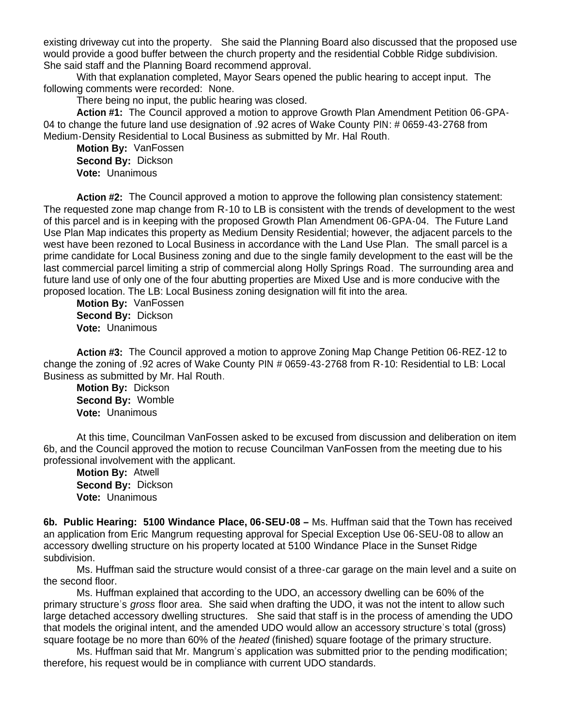existing driveway cut into the property. She said the Planning Board also discussed that the proposed use would provide a good buffer between the church property and the residential Cobble Ridge subdivision. She said staff and the Planning Board recommend approval.

With that explanation completed, Mayor Sears opened the public hearing to accept input. The following comments were recorded: None.

There being no input, the public hearing was closed.

**Action #1:** The Council approved a motion to approve Growth Plan Amendment Petition 06-GPA-04 to change the future land use designation of .92 acres of Wake County PIN: # 0659-43-2768 from Medium-Density Residential to Local Business as submitted by Mr. Hal Routh.

 **Motion By:** VanFossen **Second By:** Dickson **Vote:** Unanimous

**Action #2:** The Council approved a motion to approve the following plan consistency statement: The requested zone map change from R-10 to LB is consistent with the trends of development to the west of this parcel and is in keeping with the proposed Growth Plan Amendment 06-GPA-04. The Future Land Use Plan Map indicates this property as Medium Density Residential; however, the adjacent parcels to the west have been rezoned to Local Business in accordance with the Land Use Plan. The small parcel is a prime candidate for Local Business zoning and due to the single family development to the east will be the last commercial parcel limiting a strip of commercial along Holly Springs Road. The surrounding area and future land use of only one of the four abutting properties are Mixed Use and is more conducive with the proposed location. The LB: Local Business zoning designation will fit into the area.

 **Motion By:** VanFossen **Second By:** Dickson **Vote:** Unanimous

**Action #3:** The Council approved a motion to approve Zoning Map Change Petition 06-REZ-12 to change the zoning of .92 acres of Wake County PIN # 0659-43-2768 from R-10: Residential to LB: Local Business as submitted by Mr. Hal Routh.

 **Motion By:** Dickson **Second By:** Womble **Vote:** Unanimous

At this time, Councilman VanFossen asked to be excused from discussion and deliberation on item 6b, and the Council approved the motion to recuse Councilman VanFossen from the meeting due to his professional involvement with the applicant.

 **Motion By:** Atwell **Second By:** Dickson **Vote:** Unanimous

**6b. Public Hearing: 5100 Windance Place, 06-SEU-08 –** Ms. Huffman said that the Town has received an application from Eric Mangrum requesting approval for Special Exception Use 06-SEU-08 to allow an accessory dwelling structure on his property located at 5100 Windance Place in the Sunset Ridge subdivision.

 Ms. Huffman said the structure would consist of a three-car garage on the main level and a suite on the second floor.

 Ms. Huffman explained that according to the UDO, an accessory dwelling can be 60% of the primary structure's *gross* floor area. She said when drafting the UDO, it was not the intent to allow such large detached accessory dwelling structures. She said that staff is in the process of amending the UDO that models the original intent, and the amended UDO would allow an accessory structure's total (gross) square footage be no more than 60% of the *heated* (finished) square footage of the primary structure.

 Ms. Huffman said that Mr. Mangrum's application was submitted prior to the pending modification; therefore, his request would be in compliance with current UDO standards.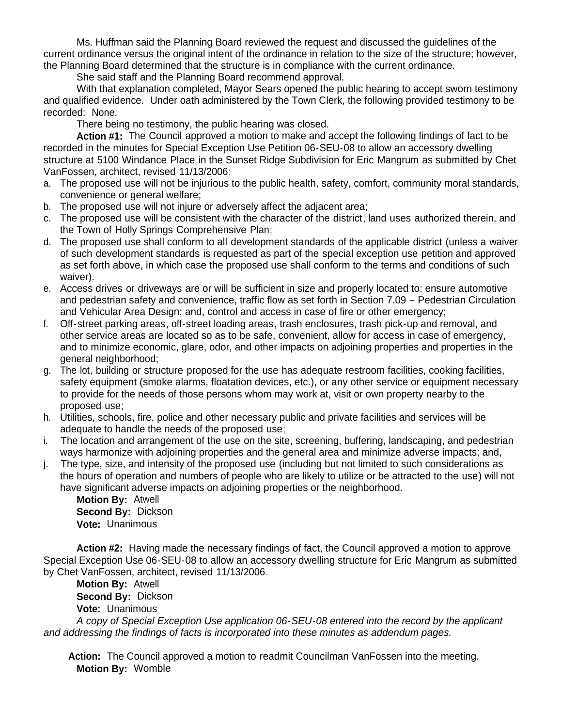Ms. Huffman said the Planning Board reviewed the request and discussed the guidelines of the current ordinance versus the original intent of the ordinance in relation to the size of the structure; however, the Planning Board determined that the structure is in compliance with the current ordinance.

She said staff and the Planning Board recommend approval.

With that explanation completed, Mayor Sears opened the public hearing to accept sworn testimony and qualified evidence. Under oath administered by the Town Clerk, the following provided testimony to be recorded: None.

There being no testimony, the public hearing was closed.

 **Action #1:** The Council approved a motion to make and accept the following findings of fact to be recorded in the minutes for Special Exception Use Petition 06-SEU-08 to allow an accessory dwelling structure at 5100 Windance Place in the Sunset Ridge Subdivision for Eric Mangrum as submitted by Chet VanFossen, architect, revised 11/13/2006:

- a. The proposed use will not be injurious to the public health, safety, comfort, community moral standards, convenience or general welfare;
- b. The proposed use will not injure or adversely affect the adjacent area;
- c. The proposed use will be consistent with the character of the district, land uses authorized therein, and the Town of Holly Springs Comprehensive Plan;
- d. The proposed use shall conform to all development standards of the applicable district (unless a waiver of such development standards is requested as part of the special exception use petition and approved as set forth above, in which case the proposed use shall conform to the terms and conditions of such waiver).
- e. Access drives or driveways are or will be sufficient in size and properly located to: ensure automotive and pedestrian safety and convenience, traffic flow as set forth in Section 7.09 – Pedestrian Circulation and Vehicular Area Design; and, control and access in case of fire or other emergency;
- f. Off-street parking areas, off-street loading areas, trash enclosures, trash pick-up and removal, and other service areas are located so as to be safe, convenient, allow for access in case of emergency, and to minimize economic, glare, odor, and other impacts on adjoining properties and properties in the general neighborhood;
- g. The lot, building or structure proposed for the use has adequate restroom facilities, cooking facilities, safety equipment (smoke alarms, floatation devices, etc.), or any other service or equipment necessary to provide for the needs of those persons whom may work at, visit or own property nearby to the proposed use;
- h. Utilities, schools, fire, police and other necessary public and private facilities and services will be adequate to handle the needs of the proposed use;
- i. The location and arrangement of the use on the site, screening, buffering, landscaping, and pedestrian ways harmonize with adjoining properties and the general area and minimize adverse impacts; and,
- j. The type, size, and intensity of the proposed use (including but not limited to such considerations as the hours of operation and numbers of people who are likely to utilize or be attracted to the use) will not have significant adverse impacts on adjoining properties or the neighborhood.

 **Motion By:** Atwell **Second By:** Dickson **Vote:** Unanimous

 **Action #2:** Having made the necessary findings of fact, the Council approved a motion to approve Special Exception Use 06-SEU-08 to allow an accessory dwelling structure for Eric Mangrum as submitted by Chet VanFossen, architect, revised 11/13/2006.

 **Motion By:** Atwell **Second By:** Dickson **Vote:** Unanimous

*A copy of Special Exception Use application 06-SEU-08 entered into the record by the applicant and addressing the findings of facts is incorporated into these minutes as addendum pages.*

 **Action:** The Council approved a motion to readmit Councilman VanFossen into the meeting. **Motion By:** Womble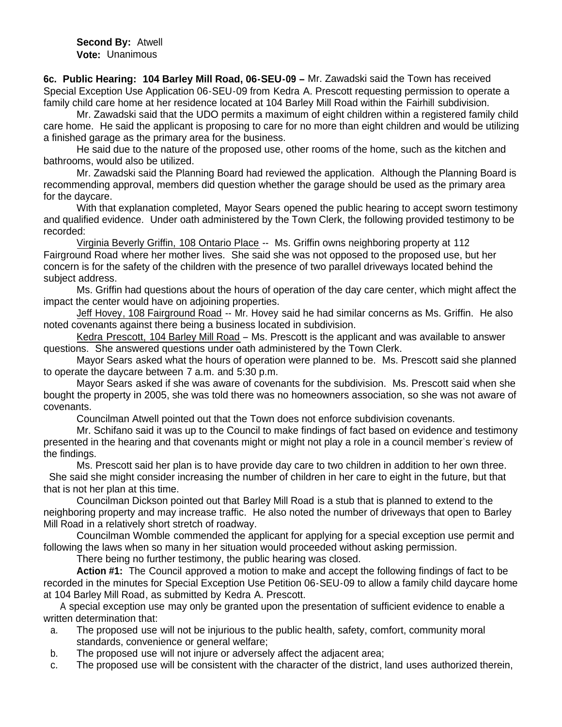**Second By:** Atwell **Vote:** Unanimous

**6c. Public Hearing: 104 Barley Mill Road, 06-SEU-09 –** Mr. Zawadski said the Town has received Special Exception Use Application 06-SEU-09 from Kedra A. Prescott requesting permission to operate a family child care home at her residence located at 104 Barley Mill Road within the Fairhill subdivision.

 Mr. Zawadski said that the UDO permits a maximum of eight children within a registered family child care home. He said the applicant is proposing to care for no more than eight children and would be utilizing a finished garage as the primary area for the business.

 He said due to the nature of the proposed use, other rooms of the home, such as the kitchen and bathrooms, would also be utilized.

Mr. Zawadski said the Planning Board had reviewed the application. Although the Planning Board is recommending approval, members did question whether the garage should be used as the primary area for the daycare.

With that explanation completed, Mayor Sears opened the public hearing to accept sworn testimony and qualified evidence. Under oath administered by the Town Clerk, the following provided testimony to be recorded:

Virginia Beverly Griffin, 108 Ontario Place -- Ms. Griffin owns neighboring property at 112 Fairground Road where her mother lives. She said she was not opposed to the proposed use, but her concern is for the safety of the children with the presence of two parallel driveways located behind the subject address.

Ms. Griffin had questions about the hours of operation of the day care center, which might affect the impact the center would have on adjoining properties.

Jeff Hovey, 108 Fairground Road -- Mr. Hovey said he had similar concerns as Ms. Griffin. He also noted covenants against there being a business located in subdivision.

Kedra Prescott, 104 Barley Mill Road – Ms. Prescott is the applicant and was available to answer questions. She answered questions under oath administered by the Town Clerk.

Mayor Sears asked what the hours of operation were planned to be. Ms. Prescott said she planned to operate the daycare between 7 a.m. and 5:30 p.m.

Mayor Sears asked if she was aware of covenants for the subdivision. Ms. Prescott said when she bought the property in 2005, she was told there was no homeowners association, so she was not aware of covenants.

Councilman Atwell pointed out that the Town does not enforce subdivision covenants.

Mr. Schifano said it was up to the Council to make findings of fact based on evidence and testimony presented in the hearing and that covenants might or might not play a role in a council member's review of the findings.

Ms. Prescott said her plan is to have provide day care to two children in addition to her own three. She said she might consider increasing the number of children in her care to eight in the future, but that that is not her plan at this time.

Councilman Dickson pointed out that Barley Mill Road is a stub that is planned to extend to the neighboring property and may increase traffic. He also noted the number of driveways that open to Barley Mill Road in a relatively short stretch of roadway.

Councilman Womble commended the applicant for applying for a special exception use permit and following the laws when so many in her situation would proceeded without asking permission.

There being no further testimony, the public hearing was closed.

 **Action #1:** The Council approved a motion to make and accept the following findings of fact to be recorded in the minutes for Special Exception Use Petition 06-SEU-09 to allow a family child daycare home at 104 Barley Mill Road, as submitted by Kedra A. Prescott.

A special exception use may only be granted upon the presentation of sufficient evidence to enable a written determination that:

- a. The proposed use will not be injurious to the public health, safety, comfort, community moral standards, convenience or general welfare;
- b. The proposed use will not injure or adversely affect the adjacent area;
- c. The proposed use will be consistent with the character of the district, land uses authorized therein,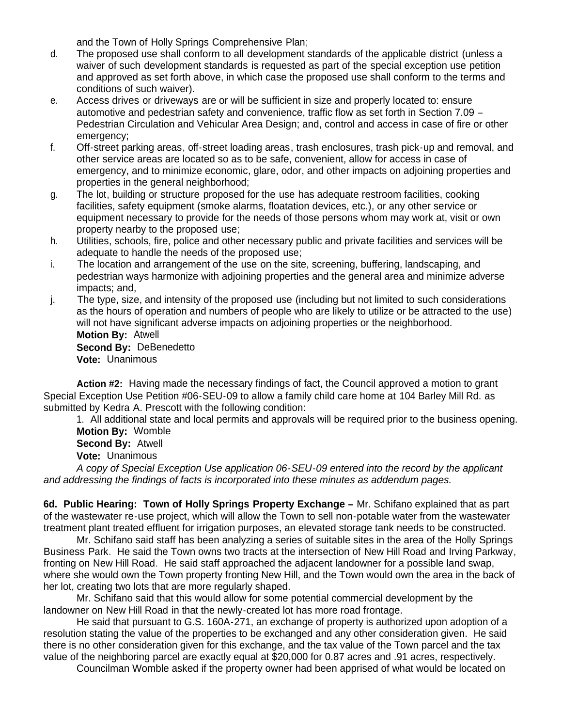and the Town of Holly Springs Comprehensive Plan;

- d. The proposed use shall conform to all development standards of the applicable district (unless a waiver of such development standards is requested as part of the special exception use petition and approved as set forth above, in which case the proposed use shall conform to the terms and conditions of such waiver).
- e. Access drives or driveways are or will be sufficient in size and properly located to: ensure automotive and pedestrian safety and convenience, traffic flow as set forth in Section 7.09 – Pedestrian Circulation and Vehicular Area Design; and, control and access in case of fire or other emergency:
- f. Off-street parking areas, off-street loading areas, trash enclosures, trash pick-up and removal, and other service areas are located so as to be safe, convenient, allow for access in case of emergency, and to minimize economic, glare, odor, and other impacts on adjoining properties and properties in the general neighborhood;
- g. The lot, building or structure proposed for the use has adequate restroom facilities, cooking facilities, safety equipment (smoke alarms, floatation devices, etc.), or any other service or equipment necessary to provide for the needs of those persons whom may work at, visit or own property nearby to the proposed use;
- h. Utilities, schools, fire, police and other necessary public and private facilities and services will be adequate to handle the needs of the proposed use;
- i. The location and arrangement of the use on the site, screening, buffering, landscaping, and pedestrian ways harmonize with adjoining properties and the general area and minimize adverse impacts; and,
- j. The type, size, and intensity of the proposed use (including but not limited to such considerations as the hours of operation and numbers of people who are likely to utilize or be attracted to the use) will not have significant adverse impacts on adjoining properties or the neighborhood. **Motion By:** Atwell **Second By:** DeBenedetto **Vote:** Unanimous

 **Action #2:** Having made the necessary findings of fact, the Council approved a motion to grant Special Exception Use Petition #06-SEU-09 to allow a family child care home at 104 Barley Mill Rd. as submitted by Kedra A. Prescott with the following condition:

1. All additional state and local permits and approvals will be required prior to the business opening. **Motion By:** Womble

**Second By:** Atwell

**Vote:** Unanimous

*A copy of Special Exception Use application 06-SEU-09 entered into the record by the applicant and addressing the findings of facts is incorporated into these minutes as addendum pages.*

**6d. Public Hearing: Town of Holly Springs Property Exchange –** Mr. Schifano explained that as part of the wastewater re-use project, which will allow the Town to sell non-potable water from the wastewater treatment plant treated effluent for irrigation purposes, an elevated storage tank needs to be constructed.

 Mr. Schifano said staff has been analyzing a series of suitable sites in the area of the Holly Springs Business Park. He said the Town owns two tracts at the intersection of New Hill Road and Irving Parkway, fronting on New Hill Road. He said staff approached the adjacent landowner for a possible land swap, where she would own the Town property fronting New Hill, and the Town would own the area in the back of her lot, creating two lots that are more regularly shaped.

 Mr. Schifano said that this would allow for some potential commercial development by the landowner on New Hill Road in that the newly-created lot has more road frontage.

 He said that pursuant to G.S. 160A-271, an exchange of property is authorized upon adoption of a resolution stating the value of the properties to be exchanged and any other consideration given. He said there is no other consideration given for this exchange, and the tax value of the Town parcel and the tax value of the neighboring parcel are exactly equal at \$20,000 for 0.87 acres and .91 acres, respectively.

Councilman Womble asked if the property owner had been apprised of what would be located on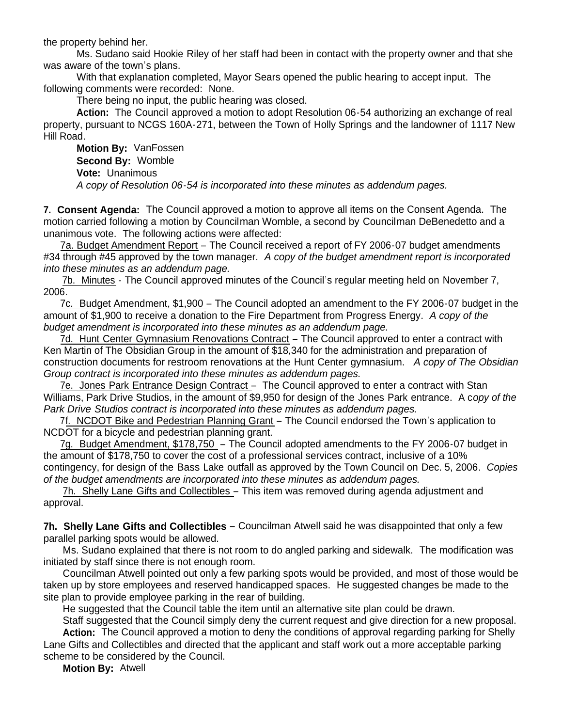the property behind her.

 Ms. Sudano said Hookie Riley of her staff had been in contact with the property owner and that she was aware of the town's plans.

With that explanation completed, Mayor Sears opened the public hearing to accept input. The following comments were recorded: None.

There being no input, the public hearing was closed.

**Action:** The Council approved a motion to adopt Resolution 06-54 authorizing an exchange of real property, pursuant to NCGS 160A-271, between the Town of Holly Springs and the landowner of 1117 New Hill Road.

 **Motion By:** VanFossen **Second By:** Womble **Vote:** Unanimous  *A copy of Resolution 06-54 is incorporated into these minutes as addendum pages.*

**7. Consent Agenda:** The Council approved a motion to approve all items on the Consent Agenda. The motion carried following a motion by Councilman Womble, a second by Councilman DeBenedetto and a unanimous vote. The following actions were affected:

 7a. Budget Amendment Report – The Council received a report of FY 2006-07 budget amendments #34 through #45 approved by the town manager. *A copy of the budget amendment report is incorporated into these minutes as an addendum page.*

7b. Minutes - The Council approved minutes of the Council's regular meeting held on November 7, 2006.

 7c. Budget Amendment, \$1,900 – The Council adopted an amendment to the FY 2006-07 budget in the amount of \$1,900 to receive a donation to the Fire Department from Progress Energy. *A copy of the budget amendment is incorporated into these minutes as an addendum page.*

 7d. Hunt Center Gymnasium Renovations Contract – The Council approved to enter a contract with Ken Martin of The Obsidian Group in the amount of \$18,340 for the administration and preparation of construction documents for restroom renovations at the Hunt Center gymnasium. *A copy of The Obsidian Group contract is incorporated into these minutes as addendum pages.*

7e. Jones Park Entrance Design Contract – The Council approved to enter a contract with Stan Williams, Park Drive Studios, in the amount of \$9,950 for design of the Jones Park entrance. A c*opy of the Park Drive Studios contract is incorporated into these minutes as addendum pages.*

 7f. NCDOT Bike and Pedestrian Planning Grant – The Council endorsed the Town's application to NCDOT for a bicycle and pedestrian planning grant.

 7g. Budget Amendment, \$178,750 – The Council adopted amendments to the FY 2006-07 budget in the amount of \$178,750 to cover the cost of a professional services contract, inclusive of a 10% contingency, for design of the Bass Lake outfall as approved by the Town Council on Dec. 5, 2006. *Copies of the budget amendments are incorporated into these minutes as addendum pages.*

 7h. Shelly Lane Gifts and Collectibles – This item was removed during agenda adjustment and approval.

**7h. Shelly Lane Gifts and Collectibles** – Councilman Atwell said he was disappointed that only a few parallel parking spots would be allowed.

 Ms. Sudano explained that there is not room to do angled parking and sidewalk. The modification was initiated by staff since there is not enough room.

 Councilman Atwell pointed out only a few parking spots would be provided, and most of those would be taken up by store employees and reserved handicapped spaces. He suggested changes be made to the site plan to provide employee parking in the rear of building.

He suggested that the Council table the item until an alternative site plan could be drawn.

 Staff suggested that the Council simply deny the current request and give direction for a new proposal. **Action:** The Council approved a motion to deny the conditions of approval regarding parking for Shelly

Lane Gifts and Collectibles and directed that the applicant and staff work out a more acceptable parking scheme to be considered by the Council.

**Motion By:** Atwell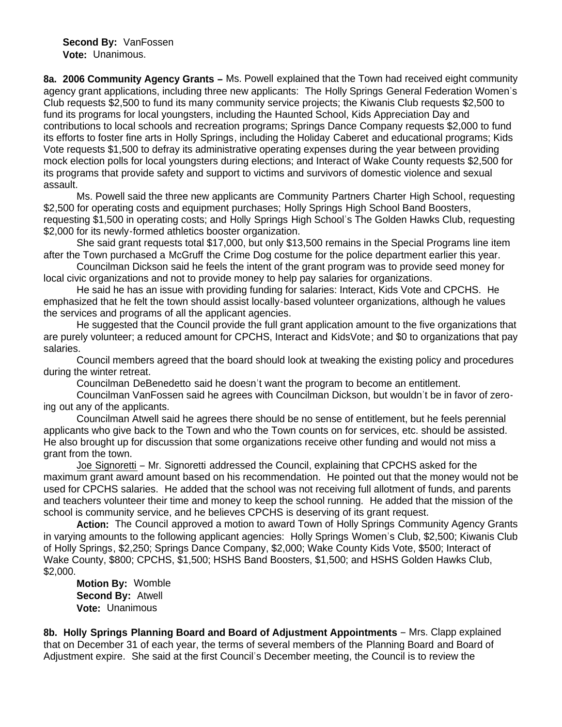**Second By:** VanFossen **Vote:** Unanimous.

**8a. 2006 Community Agency Grants –** Ms. Powell explained that the Town had received eight community agency grant applications, including three new applicants: The Holly Springs General Federation Women's Club requests \$2,500 to fund its many community service projects; the Kiwanis Club requests \$2,500 to fund its programs for local youngsters, including the Haunted School, Kids Appreciation Day and contributions to local schools and recreation programs; Springs Dance Company requests \$2,000 to fund its efforts to foster fine arts in Holly Springs, including the Holiday Caberet and educational programs; Kids Vote requests \$1,500 to defray its administrative operating expenses during the year between providing mock election polls for local youngsters during elections; and Interact of Wake County requests \$2,500 for its programs that provide safety and support to victims and survivors of domestic violence and sexual assault.

 Ms. Powell said the three new applicants are Community Partners Charter High School, requesting \$2,500 for operating costs and equipment purchases; Holly Springs High School Band Boosters, requesting \$1,500 in operating costs; and Holly Springs High School's The Golden Hawks Club, requesting \$2,000 for its newly-formed athletics booster organization.

 She said grant requests total \$17,000, but only \$13,500 remains in the Special Programs line item after the Town purchased a McGruff the Crime Dog costume for the police department earlier this year.

 Councilman Dickson said he feels the intent of the grant program was to provide seed money for local civic organizations and not to provide money to help pay salaries for organizations.

 He said he has an issue with providing funding for salaries: Interact, Kids Vote and CPCHS. He emphasized that he felt the town should assist locally-based volunteer organizations, although he values the services and programs of all the applicant agencies.

 He suggested that the Council provide the full grant application amount to the five organizations that are purely volunteer; a reduced amount for CPCHS, Interact and KidsVote; and \$0 to organizations that pay salaries.

 Council members agreed that the board should look at tweaking the existing policy and procedures during the winter retreat.

Councilman DeBenedetto said he doesn't want the program to become an entitlement.

 Councilman VanFossen said he agrees with Councilman Dickson, but wouldn't be in favor of zeroing out any of the applicants.

 Councilman Atwell said he agrees there should be no sense of entitlement, but he feels perennial applicants who give back to the Town and who the Town counts on for services, etc. should be assisted. He also brought up for discussion that some organizations receive other funding and would not miss a grant from the town.

 Joe Signoretti – Mr. Signoretti addressed the Council, explaining that CPCHS asked for the maximum grant award amount based on his recommendation. He pointed out that the money would not be used for CPCHS salaries. He added that the school was not receiving full allotment of funds, and parents and teachers volunteer their time and money to keep the school running. He added that the mission of the school is community service, and he believes CPCHS is deserving of its grant request.

 **Action:** The Council approved a motion to award Town of Holly Springs Community Agency Grants in varying amounts to the following applicant agencies: Holly Springs Women's Club, \$2,500; Kiwanis Club of Holly Springs, \$2,250; Springs Dance Company, \$2,000; Wake County Kids Vote, \$500; Interact of Wake County, \$800; CPCHS, \$1,500; HSHS Band Boosters, \$1,500; and HSHS Golden Hawks Club, \$2,000.

 **Motion By:** Womble **Second By:** Atwell **Vote:** Unanimous

**8b. Holly Springs Planning Board and Board of Adjustment Appointments** – Mrs. Clapp explained that on December 31 of each year, the terms of several members of the Planning Board and Board of Adjustment expire. She said at the first Council's December meeting, the Council is to review the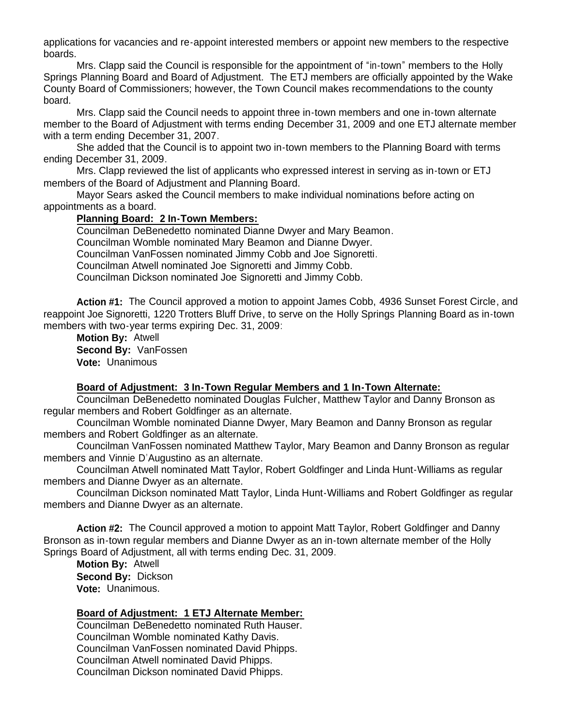applications for vacancies and re-appoint interested members or appoint new members to the respective boards.

 Mrs. Clapp said the Council is responsible for the appointment of "in-town" members to the Holly Springs Planning Board and Board of Adjustment. The ETJ members are officially appointed by the Wake County Board of Commissioners; however, the Town Council makes recommendations to the county board.

 Mrs. Clapp said the Council needs to appoint three in-town members and one in-town alternate member to the Board of Adjustment with terms ending December 31, 2009 and one ETJ alternate member with a term ending December 31, 2007.

 She added that the Council is to appoint two in-town members to the Planning Board with terms ending December 31, 2009.

Mrs. Clapp reviewed the list of applicants who expressed interest in serving as in-town or ETJ members of the Board of Adjustment and Planning Board.

 Mayor Sears asked the Council members to make individual nominations before acting on appointments as a board.

#### **Planning Board: 2 In-Town Members:**

 Councilman DeBenedetto nominated Dianne Dwyer and Mary Beamon. Councilman Womble nominated Mary Beamon and Dianne Dwyer. Councilman VanFossen nominated Jimmy Cobb and Joe Signoretti. Councilman Atwell nominated Joe Signoretti and Jimmy Cobb. Councilman Dickson nominated Joe Signoretti and Jimmy Cobb.

**Action #1:** The Council approved a motion to appoint James Cobb, 4936 Sunset Forest Circle, and reappoint Joe Signoretti, 1220 Trotters Bluff Drive, to serve on the Holly Springs Planning Board as in-town members with two-year terms expiring Dec. 31, 2009:

**Motion By:** Atwell **Second By:** VanFossen **Vote:** Unanimous

#### **Board of Adjustment: 3 In-Town Regular Members and 1 In-Town Alternate:**

 Councilman DeBenedetto nominated Douglas Fulcher, Matthew Taylor and Danny Bronson as regular members and Robert Goldfinger as an alternate.

 Councilman Womble nominated Dianne Dwyer, Mary Beamon and Danny Bronson as regular members and Robert Goldfinger as an alternate.

 Councilman VanFossen nominated Matthew Taylor, Mary Beamon and Danny Bronson as regular members and Vinnie D'Augustino as an alternate.

 Councilman Atwell nominated Matt Taylor, Robert Goldfinger and Linda Hunt-Williams as regular members and Dianne Dwyer as an alternate.

 Councilman Dickson nominated Matt Taylor, Linda Hunt-Williams and Robert Goldfinger as regular members and Dianne Dwyer as an alternate.

**Action #2:** The Council approved a motion to appoint Matt Taylor, Robert Goldfinger and Danny Bronson as in-town regular members and Dianne Dwyer as an in-town alternate member of the Holly Springs Board of Adjustment, all with terms ending Dec. 31, 2009.

**Motion By:** Atwell **Second By:** Dickson **Vote:** Unanimous.

## **Board of Adjustment: 1 ETJ Alternate Member:**

Councilman DeBenedetto nominated Ruth Hauser. Councilman Womble nominated Kathy Davis. Councilman VanFossen nominated David Phipps. Councilman Atwell nominated David Phipps. Councilman Dickson nominated David Phipps.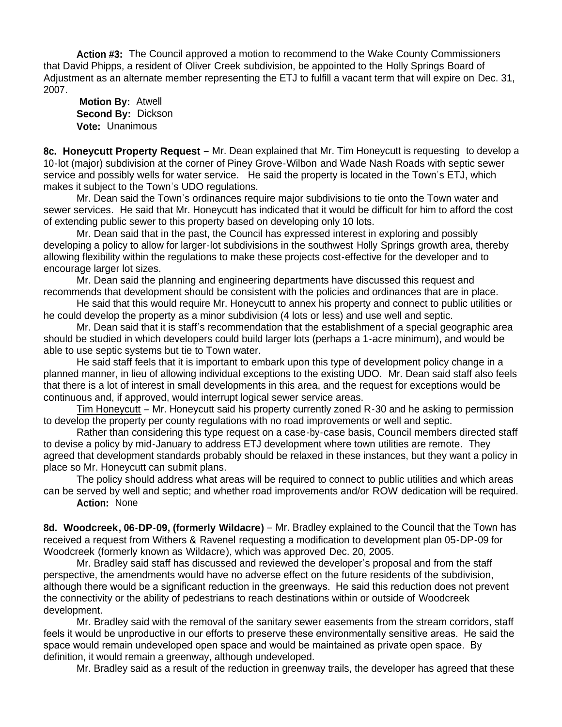**Action #3:** The Council approved a motion to recommend to the Wake County Commissioners that David Phipps, a resident of Oliver Creek subdivision, be appointed to the Holly Springs Board of Adjustment as an alternate member representing the ETJ to fulfill a vacant term that will expire on Dec. 31, 2007.

**Motion By:** Atwell **Second By:** Dickson **Vote:** Unanimous

**8c. Honeycutt Property Request** – Mr. Dean explained that Mr. Tim Honeycutt is requesting to develop a 10-lot (major) subdivision at the corner of Piney Grove-Wilbon and Wade Nash Roads with septic sewer service and possibly wells for water service. He said the property is located in the Town's ETJ, which makes it subject to the Town's UDO regulations.

 Mr. Dean said the Town's ordinances require major subdivisions to tie onto the Town water and sewer services. He said that Mr. Honeycutt has indicated that it would be difficult for him to afford the cost of extending public sewer to this property based on developing only 10 lots.

 Mr. Dean said that in the past, the Council has expressed interest in exploring and possibly developing a policy to allow for larger-lot subdivisions in the southwest Holly Springs growth area, thereby allowing flexibility within the regulations to make these projects cost-effective for the developer and to encourage larger lot sizes.

 Mr. Dean said the planning and engineering departments have discussed this request and recommends that development should be consistent with the policies and ordinances that are in place.

 He said that this would require Mr. Honeycutt to annex his property and connect to public utilities or he could develop the property as a minor subdivision (4 lots or less) and use well and septic.

 Mr. Dean said that it is staff's recommendation that the establishment of a special geographic area should be studied in which developers could build larger lots (perhaps a 1-acre minimum), and would be able to use septic systems but tie to Town water.

 He said staff feels that it is important to embark upon this type of development policy change in a planned manner, in lieu of allowing individual exceptions to the existing UDO. Mr. Dean said staff also feels that there is a lot of interest in small developments in this area, and the request for exceptions would be continuous and, if approved, would interrupt logical sewer service areas.

 Tim Honeycutt – Mr. Honeycutt said his property currently zoned R-30 and he asking to permission to develop the property per county regulations with no road improvements or well and septic.

Rather than considering this type request on a case-by-case basis, Council members directed staff to devise a policy by mid-January to address ETJ development where town utilities are remote. They agreed that development standards probably should be relaxed in these instances, but they want a policy in place so Mr. Honeycutt can submit plans.

The policy should address what areas will be required to connect to public utilities and which areas can be served by well and septic; and whether road improvements and/or ROW dedication will be required.

**Action:** None

8d. Woodcreek, 06-DP-09, (formerly Wildacre) - Mr. Bradley explained to the Council that the Town has received a request from Withers & Ravenel requesting a modification to development plan 05-DP-09 for Woodcreek (formerly known as Wildacre), which was approved Dec. 20, 2005.

 Mr. Bradley said staff has discussed and reviewed the developer's proposal and from the staff perspective, the amendments would have no adverse effect on the future residents of the subdivision, although there would be a significant reduction in the greenways. He said this reduction does not prevent the connectivity or the ability of pedestrians to reach destinations within or outside of Woodcreek development.

 Mr. Bradley said with the removal of the sanitary sewer easements from the stream corridors, staff feels it would be unproductive in our efforts to preserve these environmentally sensitive areas. He said the space would remain undeveloped open space and would be maintained as private open space. By definition, it would remain a greenway, although undeveloped.

Mr. Bradley said as a result of the reduction in greenway trails, the developer has agreed that these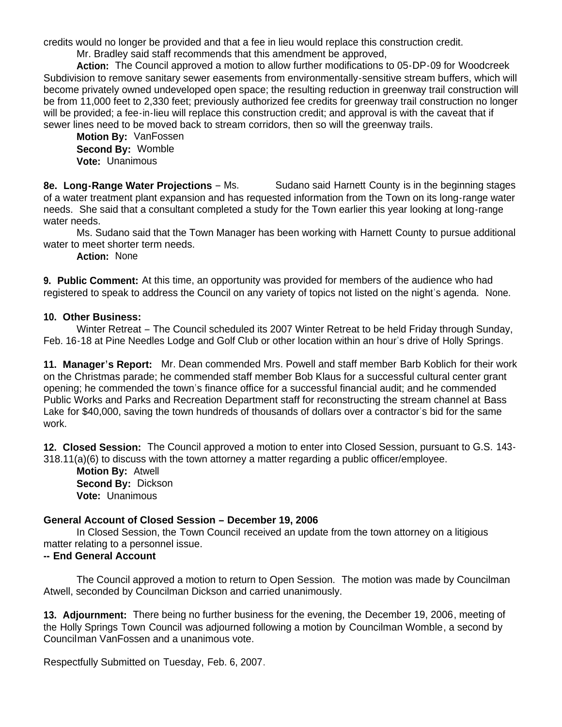credits would no longer be provided and that a fee in lieu would replace this construction credit.

Mr. Bradley said staff recommends that this amendment be approved,

 **Action:** The Council approved a motion to allow further modifications to 05-DP-09 for Woodcreek Subdivision to remove sanitary sewer easements from environmentally-sensitive stream buffers, which will become privately owned undeveloped open space; the resulting reduction in greenway trail construction will be from 11,000 feet to 2,330 feet; previously authorized fee credits for greenway trail construction no longer will be provided; a fee-in-lieu will replace this construction credit; and approval is with the caveat that if sewer lines need to be moved back to stream corridors, then so will the greenway trails.

 **Motion By:** VanFossen **Second By:** Womble **Vote:** Unanimous

**8e. Long-Range Water Projections – Ms.** Sudano said Harnett County is in the beginning stages of a water treatment plant expansion and has requested information from the Town on its long-range water needs. She said that a consultant completed a study for the Town earlier this year looking at long-range water needs.

 Ms. Sudano said that the Town Manager has been working with Harnett County to pursue additional water to meet shorter term needs.

**Action:** None

**9. Public Comment:** At this time, an opportunity was provided for members of the audience who had registered to speak to address the Council on any variety of topics not listed on the night's agenda. None.

## **10. Other Business:**

 Winter Retreat – The Council scheduled its 2007 Winter Retreat to be held Friday through Sunday, Feb. 16-18 at Pine Needles Lodge and Golf Club or other location within an hour's drive of Holly Springs.

**11. Manager's Report:** Mr. Dean commended Mrs. Powell and staff member Barb Koblich for their work on the Christmas parade; he commended staff member Bob Klaus for a successful cultural center grant opening; he commended the town's finance office for a successful financial audit; and he commended Public Works and Parks and Recreation Department staff for reconstructing the stream channel at Bass Lake for \$40,000, saving the town hundreds of thousands of dollars over a contractor's bid for the same work.

**12. Closed Session:** The Council approved a motion to enter into Closed Session, pursuant to G.S. 143- 318.11(a)(6) to discuss with the town attorney a matter regarding a public officer/employee.

 **Motion By:** Atwell **Second By:** Dickson **Vote:** Unanimous

# **General Account of Closed Session – December 19, 2006**

 In Closed Session, the Town Council received an update from the town attorney on a litigious matter relating to a personnel issue.

## **-- End General Account**

The Council approved a motion to return to Open Session. The motion was made by Councilman Atwell, seconded by Councilman Dickson and carried unanimously.

**13. Adjournment:** There being no further business for the evening, the December 19, 2006, meeting of the Holly Springs Town Council was adjourned following a motion by Councilman Womble, a second by Councilman VanFossen and a unanimous vote.

Respectfully Submitted on Tuesday, Feb. 6, 2007.